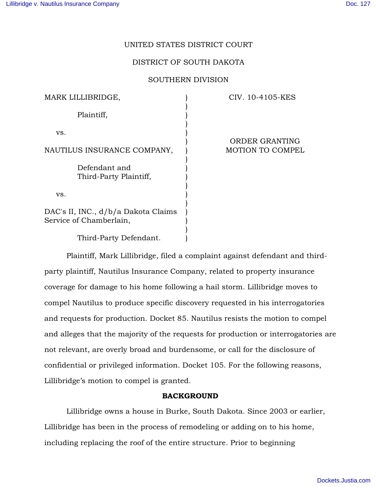## UNITED STATES DISTRICT COURT

## DISTRICT OF SOUTH DAKOTA

## SOUTHERN DIVISION

| MARK LILLIBRIDGE,                                              | CIV. 10-4105-KES        |
|----------------------------------------------------------------|-------------------------|
| Plaintiff,                                                     |                         |
| VS.                                                            |                         |
|                                                                | <b>ORDER GRANTING</b>   |
| NAUTILUS INSURANCE COMPANY,                                    | <b>MOTION TO COMPEL</b> |
| Defendant and<br>Third-Party Plaintiff,                        |                         |
| VS.                                                            |                         |
| DAC's II, INC., d/b/a Dakota Claims<br>Service of Chamberlain, |                         |
| Third-Party Defendant.                                         |                         |

Plaintiff, Mark Lillibridge, filed a complaint against defendant and thirdparty plaintiff, Nautilus Insurance Company, related to property insurance coverage for damage to his home following a hail storm. Lillibridge moves to compel Nautilus to produce specific discovery requested in his interrogatories and requests for production. Docket 85. Nautilus resists the motion to compel and alleges that the majority of the requests for production or interrogatories are not relevant, are overly broad and burdensome, or call for the disclosure of confidential or privileged information. Docket 105. For the following reasons, Lillibridge's motion to compel is granted.

## BACKGROUND

Lillibridge owns a house in Burke, South Dakota. Since 2003 or earlier, Lillibridge has been in the process of remodeling or adding on to his home, including replacing the roof of the entire structure. Prior to beginning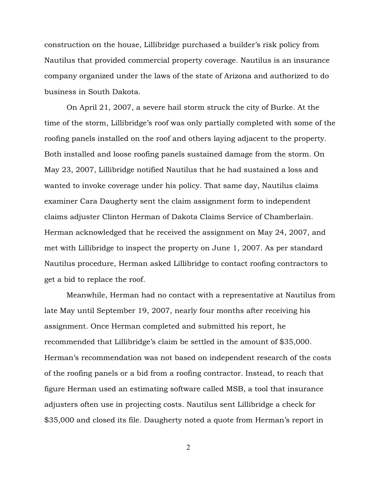construction on the house, Lillibridge purchased a builder's risk policy from Nautilus that provided commercial property coverage. Nautilus is an insurance company organized under the laws of the state of Arizona and authorized to do business in South Dakota.

On April 21, 2007, a severe hail storm struck the city of Burke. At the time of the storm, Lillibridge's roof was only partially completed with some of the roofing panels installed on the roof and others laying adjacent to the property. Both installed and loose roofing panels sustained damage from the storm. On May 23, 2007, Lillibridge notified Nautilus that he had sustained a loss and wanted to invoke coverage under his policy. That same day, Nautilus claims examiner Cara Daugherty sent the claim assignment form to independent claims adjuster Clinton Herman of Dakota Claims Service of Chamberlain. Herman acknowledged that he received the assignment on May 24, 2007, and met with Lillibridge to inspect the property on June 1, 2007. As per standard Nautilus procedure, Herman asked Lillibridge to contact roofing contractors to get a bid to replace the roof.

Meanwhile, Herman had no contact with a representative at Nautilus from late May until September 19, 2007, nearly four months after receiving his assignment. Once Herman completed and submitted his report, he recommended that Lillibridge's claim be settled in the amount of \$35,000. Herman's recommendation was not based on independent research of the costs of the roofing panels or a bid from a roofing contractor. Instead, to reach that figure Herman used an estimating software called MSB, a tool that insurance adjusters often use in projecting costs. Nautilus sent Lillibridge a check for \$35,000 and closed its file. Daugherty noted a quote from Herman's report in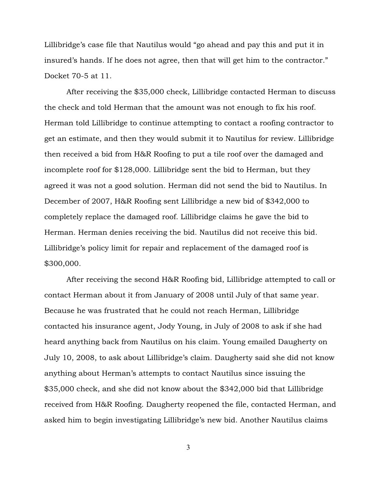Lillibridge's case file that Nautilus would "go ahead and pay this and put it in insured's hands. If he does not agree, then that will get him to the contractor." Docket 70-5 at 11.

After receiving the \$35,000 check, Lillibridge contacted Herman to discuss the check and told Herman that the amount was not enough to fix his roof. Herman told Lillibridge to continue attempting to contact a roofing contractor to get an estimate, and then they would submit it to Nautilus for review. Lillibridge then received a bid from H&R Roofing to put a tile roof over the damaged and incomplete roof for \$128,000. Lillibridge sent the bid to Herman, but they agreed it was not a good solution. Herman did not send the bid to Nautilus. In December of 2007, H&R Roofing sent Lillibridge a new bid of \$342,000 to completely replace the damaged roof. Lillibridge claims he gave the bid to Herman. Herman denies receiving the bid. Nautilus did not receive this bid. Lillibridge's policy limit for repair and replacement of the damaged roof is \$300,000.

After receiving the second H&R Roofing bid, Lillibridge attempted to call or contact Herman about it from January of 2008 until July of that same year. Because he was frustrated that he could not reach Herman, Lillibridge contacted his insurance agent, Jody Young, in July of 2008 to ask if she had heard anything back from Nautilus on his claim. Young emailed Daugherty on July 10, 2008, to ask about Lillibridge's claim. Daugherty said she did not know anything about Herman's attempts to contact Nautilus since issuing the \$35,000 check, and she did not know about the \$342,000 bid that Lillibridge received from H&R Roofing. Daugherty reopened the file, contacted Herman, and asked him to begin investigating Lillibridge's new bid. Another Nautilus claims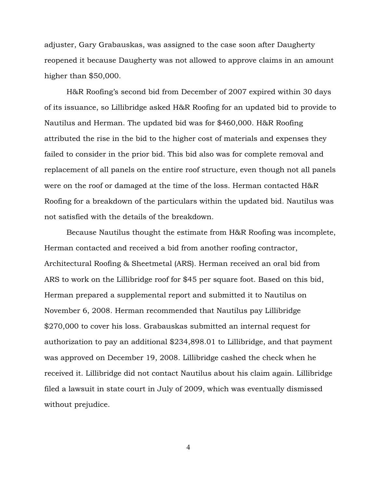adjuster, Gary Grabauskas, was assigned to the case soon after Daugherty reopened it because Daugherty was not allowed to approve claims in an amount higher than \$50,000.

H&R Roofing's second bid from December of 2007 expired within 30 days of its issuance, so Lillibridge asked H&R Roofing for an updated bid to provide to Nautilus and Herman. The updated bid was for \$460,000. H&R Roofing attributed the rise in the bid to the higher cost of materials and expenses they failed to consider in the prior bid. This bid also was for complete removal and replacement of all panels on the entire roof structure, even though not all panels were on the roof or damaged at the time of the loss. Herman contacted H&R Roofing for a breakdown of the particulars within the updated bid. Nautilus was not satisfied with the details of the breakdown.

Because Nautilus thought the estimate from H&R Roofing was incomplete, Herman contacted and received a bid from another roofing contractor, Architectural Roofing & Sheetmetal (ARS). Herman received an oral bid from ARS to work on the Lillibridge roof for \$45 per square foot. Based on this bid, Herman prepared a supplemental report and submitted it to Nautilus on November 6, 2008. Herman recommended that Nautilus pay Lillibridge \$270,000 to cover his loss. Grabauskas submitted an internal request for authorization to pay an additional \$234,898.01 to Lillibridge, and that payment was approved on December 19, 2008. Lillibridge cashed the check when he received it. Lillibridge did not contact Nautilus about his claim again. Lillibridge filed a lawsuit in state court in July of 2009, which was eventually dismissed without prejudice.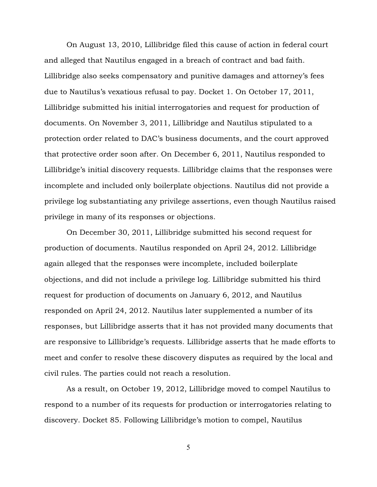On August 13, 2010, Lillibridge filed this cause of action in federal court and alleged that Nautilus engaged in a breach of contract and bad faith. Lillibridge also seeks compensatory and punitive damages and attorney's fees due to Nautilus's vexatious refusal to pay. Docket 1. On October 17, 2011, Lillibridge submitted his initial interrogatories and request for production of documents. On November 3, 2011, Lillibridge and Nautilus stipulated to a protection order related to DAC's business documents, and the court approved that protective order soon after. On December 6, 2011, Nautilus responded to Lillibridge's initial discovery requests. Lillibridge claims that the responses were incomplete and included only boilerplate objections. Nautilus did not provide a privilege log substantiating any privilege assertions, even though Nautilus raised privilege in many of its responses or objections.

On December 30, 2011, Lillibridge submitted his second request for production of documents. Nautilus responded on April 24, 2012. Lillibridge again alleged that the responses were incomplete, included boilerplate objections, and did not include a privilege log. Lillibridge submitted his third request for production of documents on January 6, 2012, and Nautilus responded on April 24, 2012. Nautilus later supplemented a number of its responses, but Lillibridge asserts that it has not provided many documents that are responsive to Lillibridge's requests. Lillibridge asserts that he made efforts to meet and confer to resolve these discovery disputes as required by the local and civil rules. The parties could not reach a resolution.

As a result, on October 19, 2012, Lillibridge moved to compel Nautilus to respond to a number of its requests for production or interrogatories relating to discovery. Docket 85. Following Lillibridge's motion to compel, Nautilus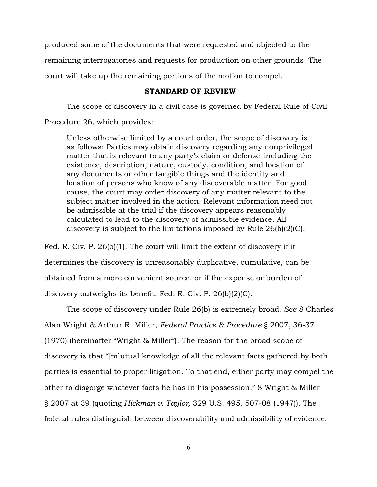produced some of the documents that were requested and objected to the remaining interrogatories and requests for production on other grounds. The court will take up the remaining portions of the motion to compel.

### STANDARD OF REVIEW

The scope of discovery in a civil case is governed by Federal Rule of Civil Procedure 26, which provides:

Unless otherwise limited by a court order, the scope of discovery is as follows: Parties may obtain discovery regarding any nonprivileged matter that is relevant to any party's claim or defense–including the existence, description, nature, custody, condition, and location of any documents or other tangible things and the identity and location of persons who know of any discoverable matter. For good cause, the court may order discovery of any matter relevant to the subject matter involved in the action. Relevant information need not be admissible at the trial if the discovery appears reasonably calculated to lead to the discovery of admissible evidence. All discovery is subject to the limitations imposed by Rule 26(b)(2)(C).

Fed. R. Civ. P. 26(b)(1). The court will limit the extent of discovery if it determines the discovery is unreasonably duplicative, cumulative, can be obtained from a more convenient source, or if the expense or burden of discovery outweighs its benefit. Fed. R. Civ. P. 26(b)(2)(C).

The scope of discovery under Rule 26(b) is extremely broad. *See* 8 Charles Alan Wright & Arthur R. Miller, *Federal Practice & Procedure* § 2007, 36-37 (1970) (hereinafter "Wright & Miller"). The reason for the broad scope of discovery is that "[m]utual knowledge of all the relevant facts gathered by both parties is essential to proper litigation. To that end, either party may compel the other to disgorge whatever facts he has in his possession." 8 Wright & Miller § 2007 at 39 (quoting *Hickman v. Taylor,* 329 U.S. 495, 507-08 (1947)). The federal rules distinguish between discoverability and admissibility of evidence.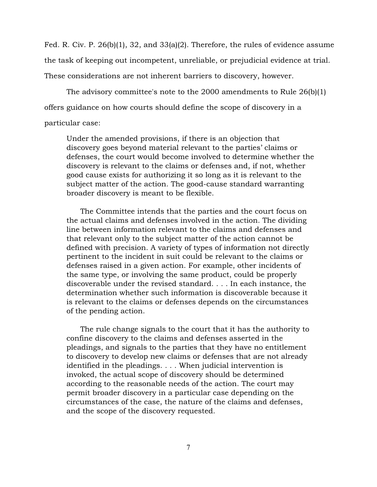Fed. R. Civ. P. 26(b)(1), 32, and 33(a)(2). Therefore, the rules of evidence assume the task of keeping out incompetent, unreliable, or prejudicial evidence at trial. These considerations are not inherent barriers to discovery, however.

The advisory committee's note to the 2000 amendments to Rule  $26(b)(1)$ offers guidance on how courts should define the scope of discovery in a

## particular case:

Under the amended provisions, if there is an objection that discovery goes beyond material relevant to the parties' claims or defenses, the court would become involved to determine whether the discovery is relevant to the claims or defenses and, if not, whether good cause exists for authorizing it so long as it is relevant to the subject matter of the action. The good-cause standard warranting broader discovery is meant to be flexible.

The Committee intends that the parties and the court focus on the actual claims and defenses involved in the action. The dividing line between information relevant to the claims and defenses and that relevant only to the subject matter of the action cannot be defined with precision. A variety of types of information not directly pertinent to the incident in suit could be relevant to the claims or defenses raised in a given action. For example, other incidents of the same type, or involving the same product, could be properly discoverable under the revised standard. . . . In each instance, the determination whether such information is discoverable because it is relevant to the claims or defenses depends on the circumstances of the pending action.

The rule change signals to the court that it has the authority to confine discovery to the claims and defenses asserted in the pleadings, and signals to the parties that they have no entitlement to discovery to develop new claims or defenses that are not already identified in the pleadings. . . . When judicial intervention is invoked, the actual scope of discovery should be determined according to the reasonable needs of the action. The court may permit broader discovery in a particular case depending on the circumstances of the case, the nature of the claims and defenses, and the scope of the discovery requested.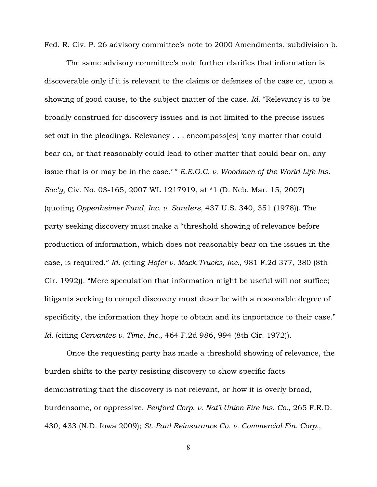Fed. R. Civ. P. 26 advisory committee's note to 2000 Amendments, subdivision b.

The same advisory committee's note further clarifies that information is discoverable only if it is relevant to the claims or defenses of the case or, upon a showing of good cause, to the subject matter of the case. *Id.* "Relevancy is to be broadly construed for discovery issues and is not limited to the precise issues set out in the pleadings. Relevancy . . . encompass[es] 'any matter that could bear on, or that reasonably could lead to other matter that could bear on, any issue that is or may be in the case.' " *E.E.O.C. v. Woodmen of the World Life Ins. Soc'y,* Civ. No. 03-165, 2007 WL 1217919, at \*1 (D. Neb. Mar. 15, 2007) (quoting *Oppenheimer Fund, Inc. v. Sanders,* 437 U.S. 340, 351 (1978)). The party seeking discovery must make a "threshold showing of relevance before production of information, which does not reasonably bear on the issues in the case, is required." *Id.* (citing *Hofer v. Mack Trucks, Inc.,* 981 F.2d 377, 380 (8th Cir. 1992)). "Mere speculation that information might be useful will not suffice; litigants seeking to compel discovery must describe with a reasonable degree of specificity, the information they hope to obtain and its importance to their case." *Id.* (citing *Cervantes v. Time, Inc.,* 464 F.2d 986, 994 (8th Cir. 1972)).

Once the requesting party has made a threshold showing of relevance, the burden shifts to the party resisting discovery to show specific facts demonstrating that the discovery is not relevant, or how it is overly broad, burdensome, or oppressive. *Penford Corp. v. Nat'l Union Fire Ins. Co.,* 265 F.R.D. 430, 433 (N.D. Iowa 2009); *St. Paul Reinsurance Co. v. Commercial Fin. Corp.,*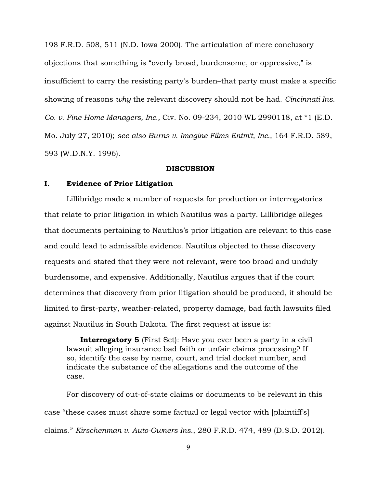198 F.R.D. 508, 511 (N.D. Iowa 2000). The articulation of mere conclusory objections that something is "overly broad, burdensome, or oppressive," is insufficient to carry the resisting party's burden–that party must make a specific showing of reasons *why* the relevant discovery should not be had. *Cincinnati Ins. Co. v. Fine Home Managers, Inc.,* Civ. No. 09-234, 2010 WL 2990118, at \*1 (E.D. Mo. July 27, 2010); *see also Burns v. Imagine Films Entm't, Inc.,* 164 F.R.D. 589, 593 (W.D.N.Y. 1996).

#### DISCUSSION

### I. Evidence of Prior Litigation

Lillibridge made a number of requests for production or interrogatories that relate to prior litigation in which Nautilus was a party. Lillibridge alleges that documents pertaining to Nautilus's prior litigation are relevant to this case and could lead to admissible evidence. Nautilus objected to these discovery requests and stated that they were not relevant, were too broad and unduly burdensome, and expensive. Additionally, Nautilus argues that if the court determines that discovery from prior litigation should be produced, it should be limited to first-party, weather-related, property damage, bad faith lawsuits filed against Nautilus in South Dakota. The first request at issue is:

**Interrogatory 5** (First Set): Have you ever been a party in a civil lawsuit alleging insurance bad faith or unfair claims processing? If so, identify the case by name, court, and trial docket number, and indicate the substance of the allegations and the outcome of the case.

For discovery of out-of-state claims or documents to be relevant in this case "these cases must share some factual or legal vector with [plaintiff's] claims." *Kirschenman v. Auto-Owners Ins.*, 280 F.R.D. 474, 489 (D.S.D. 2012).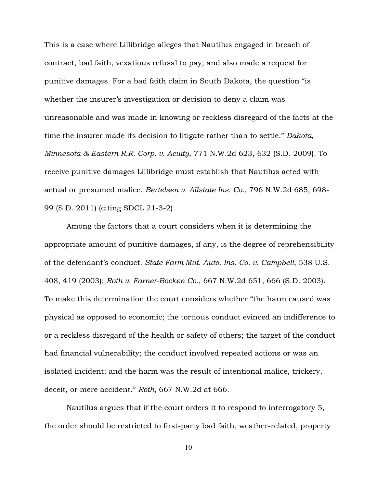This is a case where Lillibridge alleges that Nautilus engaged in breach of contract, bad faith, vexatious refusal to pay, and also made a request for punitive damages. For a bad faith claim in South Dakota, the question "is whether the insurer's investigation or decision to deny a claim was unreasonable and was made in knowing or reckless disregard of the facts at the time the insurer made its decision to litigate rather than to settle." *Dakota, Minnesota & Eastern R.R. Corp. v. Acuity*, 771 N.W.2d 623, 632 (S.D. 2009). To receive punitive damages Lillibridge must establish that Nautilus acted with actual or presumed malice. *Bertelsen v. Allstate Ins. Co.*, 796 N.W.2d 685, 698- 99 (S.D. 2011) (citing SDCL 21-3-2).

Among the factors that a court considers when it is determining the appropriate amount of punitive damages, if any, is the degree of reprehensibility of the defendant's conduct. *State Farm Mut. Auto. Ins. Co. v. Campbell*, 538 U.S. 408, 419 (2003); *Roth v. Farner-Bocken Co.*, 667 N.W.2d 651, 666 (S.D. 2003). To make this determination the court considers whether "the harm caused was physical as opposed to economic; the tortious conduct evinced an indifference to or a reckless disregard of the health or safety of others; the target of the conduct had financial vulnerability; the conduct involved repeated actions or was an isolated incident; and the harm was the result of intentional malice, trickery, deceit, or mere accident." *Roth*, 667 N.W.2d at 666.

Nautilus argues that if the court orders it to respond to interrogatory 5, the order should be restricted to first-party bad faith, weather-related, property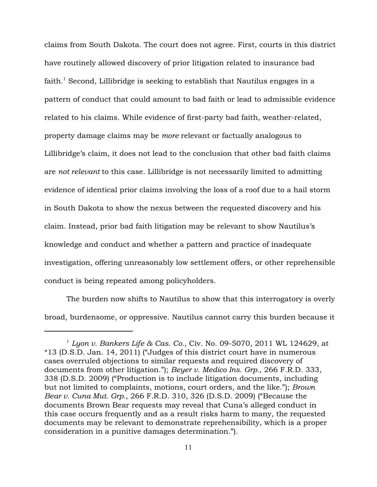claims from South Dakota. The court does not agree. First, courts in this district have routinely allowed discovery of prior litigation related to insurance bad faith.<sup>1</sup> Second, Lillibridge is seeking to establish that Nautilus engages in a pattern of conduct that could amount to bad faith or lead to admissible evidence related to his claims. While evidence of first-party bad faith, weather-related, property damage claims may be *more* relevant or factually analogous to Lillibridge's claim, it does not lead to the conclusion that other bad faith claims are *not relevant* to this case. Lillibridge is not necessarily limited to admitting evidence of identical prior claims involving the loss of a roof due to a hail storm in South Dakota to show the nexus between the requested discovery and his claim. Instead, prior bad faith litigation may be relevant to show Nautilus's knowledge and conduct and whether a pattern and practice of inadequate investigation, offering unreasonably low settlement offers, or other reprehensible conduct is being repeated among policyholders.

The burden now shifts to Nautilus to show that this interrogatory is overly broad, burdensome, or oppressive. Nautilus cannot carry this burden because it

*Lyon v. Bankers Life & Cas. Co.*, Civ. No. 09-5070, 2011 WL 124629, at <sup>1</sup> \*13 (D.S.D. Jan. 14, 2011) ("Judges of this district court have in numerous cases overruled objections to similar requests and required discovery of documents from other litigation."); *Beyer v. Medico Ins. Grp.*, 266 F.R.D. 333, 338 (D.S.D. 2009) ("Production is to include litigation documents, including but not limited to complaints, motions, court orders, and the like."); *Brown Bear v. Cuna Mut. Grp.*, 266 F.R.D. 310, 326 (D.S.D. 2009) ("Because the documents Brown Bear requests may reveal that Cuna's alleged conduct in this case occurs frequently and as a result risks harm to many, the requested documents may be relevant to demonstrate reprehensibility, which is a proper consideration in a punitive damages determination.").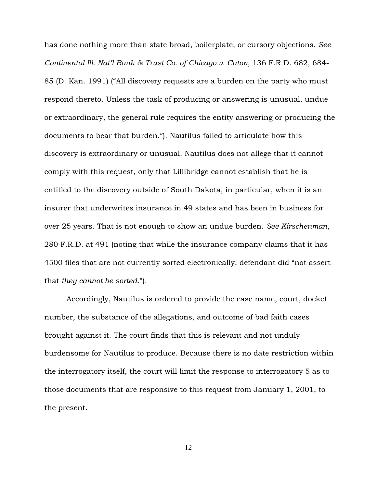has done nothing more than state broad, boilerplate, or cursory objections. *See Continental Ill. Nat'l Bank & Trust Co. of Chicago v. Caton*, 136 F.R.D. 682, 684- 85 (D. Kan. 1991) ("All discovery requests are a burden on the party who must respond thereto. Unless the task of producing or answering is unusual, undue or extraordinary, the general rule requires the entity answering or producing the documents to bear that burden."). Nautilus failed to articulate how this discovery is extraordinary or unusual. Nautilus does not allege that it cannot comply with this request, only that Lillibridge cannot establish that he is entitled to the discovery outside of South Dakota, in particular, when it is an insurer that underwrites insurance in 49 states and has been in business for over 25 years. That is not enough to show an undue burden. *See Kirschenman*, 280 F.R.D. at 491 (noting that while the insurance company claims that it has 4500 files that are not currently sorted electronically, defendant did "not assert that *they cannot be sorted*.").

Accordingly, Nautilus is ordered to provide the case name, court, docket number, the substance of the allegations, and outcome of bad faith cases brought against it. The court finds that this is relevant and not unduly burdensome for Nautilus to produce. Because there is no date restriction within the interrogatory itself, the court will limit the response to interrogatory 5 as to those documents that are responsive to this request from January 1, 2001, to the present.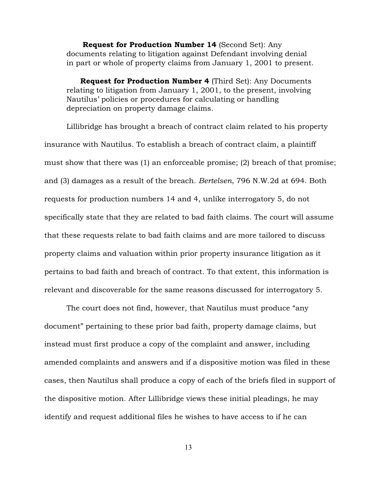Request for Production Number 14 (Second Set): Any documents relating to litigation against Defendant involving denial in part or whole of property claims from January 1, 2001 to present.

Request for Production Number 4 (Third Set): Any Documents relating to litigation from January 1, 2001, to the present, involving Nautilus' policies or procedures for calculating or handling depreciation on property damage claims.

Lillibridge has brought a breach of contract claim related to his property insurance with Nautilus. To establish a breach of contract claim, a plaintiff must show that there was (1) an enforceable promise; (2) breach of that promise; and (3) damages as a result of the breach. *Bertelsen*, 796 N.W.2d at 694. Both requests for production numbers 14 and 4, unlike interrogatory 5, do not specifically state that they are related to bad faith claims. The court will assume that these requests relate to bad faith claims and are more tailored to discuss property claims and valuation within prior property insurance litigation as it pertains to bad faith and breach of contract. To that extent, this information is relevant and discoverable for the same reasons discussed for interrogatory 5.

The court does not find, however, that Nautilus must produce "any document" pertaining to these prior bad faith, property damage claims, but instead must first produce a copy of the complaint and answer, including amended complaints and answers and if a dispositive motion was filed in these cases, then Nautilus shall produce a copy of each of the briefs filed in support of the dispositive motion. After Lillibridge views these initial pleadings, he may identify and request additional files he wishes to have access to if he can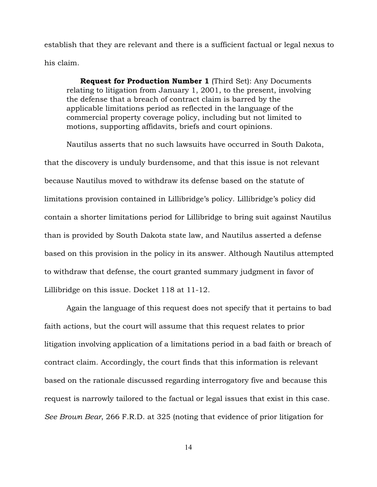establish that they are relevant and there is a sufficient factual or legal nexus to his claim.

Request for Production Number 1 (Third Set): Any Documents relating to litigation from January 1, 2001, to the present, involving the defense that a breach of contract claim is barred by the applicable limitations period as reflected in the language of the commercial property coverage policy, including but not limited to motions, supporting affidavits, briefs and court opinions.

Nautilus asserts that no such lawsuits have occurred in South Dakota, that the discovery is unduly burdensome, and that this issue is not relevant because Nautilus moved to withdraw its defense based on the statute of limitations provision contained in Lillibridge's policy. Lillibridge's policy did contain a shorter limitations period for Lillibridge to bring suit against Nautilus than is provided by South Dakota state law, and Nautilus asserted a defense based on this provision in the policy in its answer. Although Nautilus attempted to withdraw that defense, the court granted summary judgment in favor of Lillibridge on this issue. Docket 118 at 11-12.

Again the language of this request does not specify that it pertains to bad faith actions, but the court will assume that this request relates to prior litigation involving application of a limitations period in a bad faith or breach of contract claim. Accordingly, the court finds that this information is relevant based on the rationale discussed regarding interrogatory five and because this request is narrowly tailored to the factual or legal issues that exist in this case. *See Brown Bear*, 266 F.R.D. at 325 (noting that evidence of prior litigation for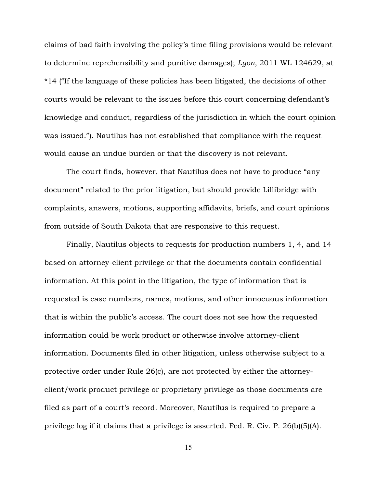claims of bad faith involving the policy's time filing provisions would be relevant to determine reprehensibility and punitive damages); *Lyon*, 2011 WL 124629, at \*14 ("If the language of these policies has been litigated, the decisions of other courts would be relevant to the issues before this court concerning defendant's knowledge and conduct, regardless of the jurisdiction in which the court opinion was issued."). Nautilus has not established that compliance with the request would cause an undue burden or that the discovery is not relevant.

The court finds, however, that Nautilus does not have to produce "any document" related to the prior litigation, but should provide Lillibridge with complaints, answers, motions, supporting affidavits, briefs, and court opinions from outside of South Dakota that are responsive to this request.

Finally, Nautilus objects to requests for production numbers 1, 4, and 14 based on attorney-client privilege or that the documents contain confidential information. At this point in the litigation, the type of information that is requested is case numbers, names, motions, and other innocuous information that is within the public's access. The court does not see how the requested information could be work product or otherwise involve attorney-client information. Documents filed in other litigation, unless otherwise subject to a protective order under Rule 26(c), are not protected by either the attorneyclient/work product privilege or proprietary privilege as those documents are filed as part of a court's record. Moreover, Nautilus is required to prepare a privilege log if it claims that a privilege is asserted. Fed. R. Civ. P. 26(b)(5)(A).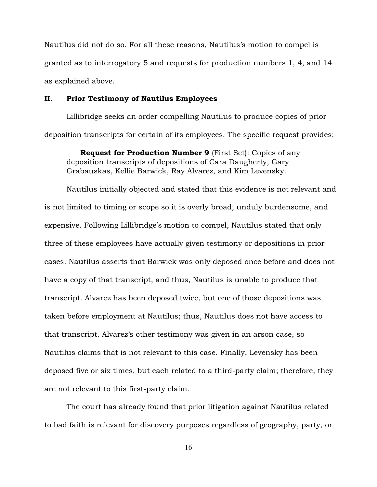Nautilus did not do so. For all these reasons, Nautilus's motion to compel is granted as to interrogatory 5 and requests for production numbers 1, 4, and 14 as explained above.

#### II. Prior Testimony of Nautilus Employees

Lillibridge seeks an order compelling Nautilus to produce copies of prior deposition transcripts for certain of its employees. The specific request provides:

Request for Production Number 9 (First Set): Copies of any deposition transcripts of depositions of Cara Daugherty, Gary Grabauskas, Kellie Barwick, Ray Alvarez, and Kim Levensky.

Nautilus initially objected and stated that this evidence is not relevant and is not limited to timing or scope so it is overly broad, unduly burdensome, and expensive. Following Lillibridge's motion to compel, Nautilus stated that only three of these employees have actually given testimony or depositions in prior cases. Nautilus asserts that Barwick was only deposed once before and does not have a copy of that transcript, and thus, Nautilus is unable to produce that transcript. Alvarez has been deposed twice, but one of those depositions was taken before employment at Nautilus; thus, Nautilus does not have access to that transcript. Alvarez's other testimony was given in an arson case, so Nautilus claims that is not relevant to this case. Finally, Levensky has been deposed five or six times, but each related to a third-party claim; therefore, they are not relevant to this first-party claim.

The court has already found that prior litigation against Nautilus related to bad faith is relevant for discovery purposes regardless of geography, party, or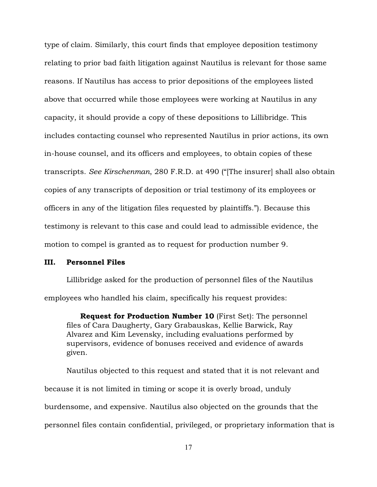type of claim. Similarly, this court finds that employee deposition testimony relating to prior bad faith litigation against Nautilus is relevant for those same reasons. If Nautilus has access to prior depositions of the employees listed above that occurred while those employees were working at Nautilus in any capacity, it should provide a copy of these depositions to Lillibridge. This includes contacting counsel who represented Nautilus in prior actions, its own in-house counsel, and its officers and employees, to obtain copies of these transcripts. *See Kirschenman*, 280 F.R.D. at 490 ("[The insurer] shall also obtain copies of any transcripts of deposition or trial testimony of its employees or officers in any of the litigation files requested by plaintiffs."). Because this testimony is relevant to this case and could lead to admissible evidence, the motion to compel is granted as to request for production number 9.

#### III. Personnel Files

Lillibridge asked for the production of personnel files of the Nautilus employees who handled his claim, specifically his request provides:

Request for Production Number 10 (First Set): The personnel files of Cara Daugherty, Gary Grabauskas, Kellie Barwick, Ray Alvarez and Kim Levensky, including evaluations performed by supervisors, evidence of bonuses received and evidence of awards given.

Nautilus objected to this request and stated that it is not relevant and because it is not limited in timing or scope it is overly broad, unduly burdensome, and expensive. Nautilus also objected on the grounds that the personnel files contain confidential, privileged, or proprietary information that is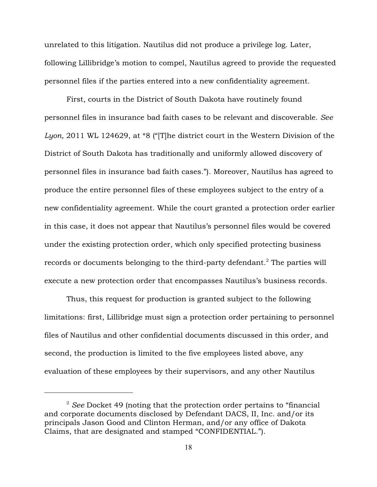unrelated to this litigation. Nautilus did not produce a privilege log. Later, following Lillibridge's motion to compel, Nautilus agreed to provide the requested personnel files if the parties entered into a new confidentiality agreement.

First, courts in the District of South Dakota have routinely found personnel files in insurance bad faith cases to be relevant and discoverable. *See Lyon*, 2011 WL 124629, at \*8 ("[T]he district court in the Western Division of the District of South Dakota has traditionally and uniformly allowed discovery of personnel files in insurance bad faith cases."). Moreover, Nautilus has agreed to produce the entire personnel files of these employees subject to the entry of a new confidentiality agreement. While the court granted a protection order earlier in this case, it does not appear that Nautilus's personnel files would be covered under the existing protection order, which only specified protecting business records or documents belonging to the third-party defendant.<sup>2</sup> The parties will execute a new protection order that encompasses Nautilus's business records.

Thus, this request for production is granted subject to the following limitations: first, Lillibridge must sign a protection order pertaining to personnel files of Nautilus and other confidential documents discussed in this order, and second, the production is limited to the five employees listed above, any evaluation of these employees by their supervisors, and any other Nautilus

<sup>&</sup>lt;sup>2</sup> See Docket 49 (noting that the protection order pertains to "financial" and corporate documents disclosed by Defendant DACS, II, Inc. and/or its principals Jason Good and Clinton Herman, and/or any office of Dakota Claims, that are designated and stamped "CONFIDENTIAL.").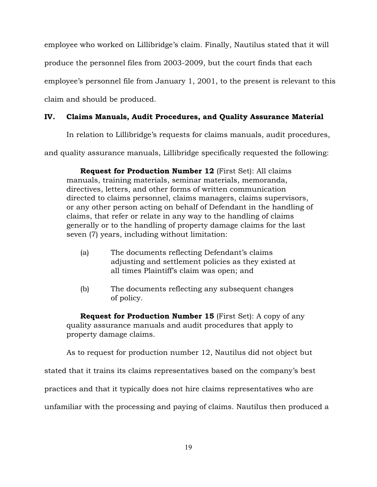employee who worked on Lillibridge's claim. Finally, Nautilus stated that it will produce the personnel files from 2003-2009, but the court finds that each employee's personnel file from January 1, 2001, to the present is relevant to this claim and should be produced.

# IV. Claims Manuals, Audit Procedures, and Quality Assurance Material

In relation to Lillibridge's requests for claims manuals, audit procedures,

and quality assurance manuals, Lillibridge specifically requested the following:

Request for Production Number 12 (First Set): All claims manuals, training materials, seminar materials, memoranda, directives, letters, and other forms of written communication directed to claims personnel, claims managers, claims supervisors, or any other person acting on behalf of Defendant in the handling of claims, that refer or relate in any way to the handling of claims generally or to the handling of property damage claims for the last seven (7) years, including without limitation:

- (a) The documents reflecting Defendant's claims adjusting and settlement policies as they existed at all times Plaintiff's claim was open; and
- (b) The documents reflecting any subsequent changes of policy.

**Request for Production Number 15** (First Set): A copy of any quality assurance manuals and audit procedures that apply to property damage claims.

As to request for production number 12, Nautilus did not object but

stated that it trains its claims representatives based on the company's best

practices and that it typically does not hire claims representatives who are

unfamiliar with the processing and paying of claims. Nautilus then produced a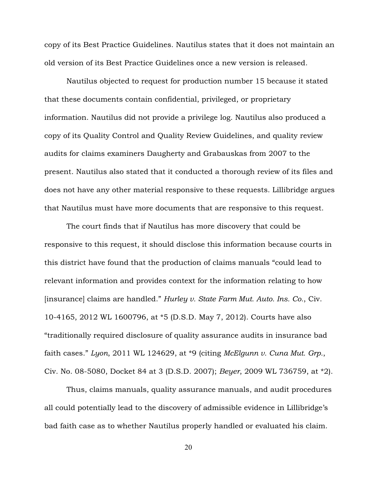copy of its Best Practice Guidelines. Nautilus states that it does not maintain an old version of its Best Practice Guidelines once a new version is released.

Nautilus objected to request for production number 15 because it stated that these documents contain confidential, privileged, or proprietary information. Nautilus did not provide a privilege log. Nautilus also produced a copy of its Quality Control and Quality Review Guidelines, and quality review audits for claims examiners Daugherty and Grabauskas from 2007 to the present. Nautilus also stated that it conducted a thorough review of its files and does not have any other material responsive to these requests. Lillibridge argues that Nautilus must have more documents that are responsive to this request.

The court finds that if Nautilus has more discovery that could be responsive to this request, it should disclose this information because courts in this district have found that the production of claims manuals "could lead to relevant information and provides context for the information relating to how [insurance] claims are handled." *Hurley v. State Farm Mut. Auto. Ins. Co.*, Civ. 10-4165, 2012 WL 1600796, at \*5 (D.S.D. May 7, 2012). Courts have also "traditionally required disclosure of quality assurance audits in insurance bad faith cases." *Lyon*, 2011 WL 124629, at \*9 (citing *McElgunn v. Cuna Mut. Grp.*, Civ. No. 08-5080, Docket 84 at 3 (D.S.D. 2007); *Beyer*, 2009 WL 736759, at \*2).

Thus, claims manuals, quality assurance manuals, and audit procedures all could potentially lead to the discovery of admissible evidence in Lillibridge's bad faith case as to whether Nautilus properly handled or evaluated his claim.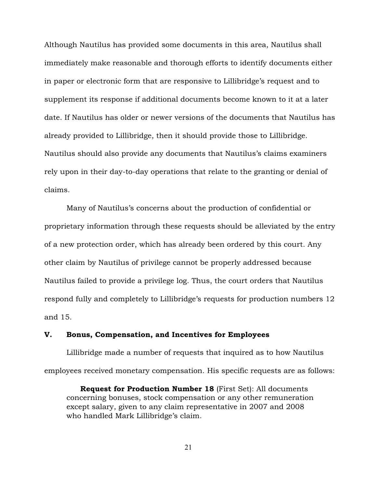Although Nautilus has provided some documents in this area, Nautilus shall immediately make reasonable and thorough efforts to identify documents either in paper or electronic form that are responsive to Lillibridge's request and to supplement its response if additional documents become known to it at a later date. If Nautilus has older or newer versions of the documents that Nautilus has already provided to Lillibridge, then it should provide those to Lillibridge. Nautilus should also provide any documents that Nautilus's claims examiners rely upon in their day-to-day operations that relate to the granting or denial of claims.

Many of Nautilus's concerns about the production of confidential or proprietary information through these requests should be alleviated by the entry of a new protection order, which has already been ordered by this court. Any other claim by Nautilus of privilege cannot be properly addressed because Nautilus failed to provide a privilege log. Thus, the court orders that Nautilus respond fully and completely to Lillibridge's requests for production numbers 12 and 15.

## V. Bonus, Compensation, and Incentives for Employees

Lillibridge made a number of requests that inquired as to how Nautilus employees received monetary compensation. His specific requests are as follows:

Request for Production Number 18 (First Set): All documents concerning bonuses, stock compensation or any other remuneration except salary, given to any claim representative in 2007 and 2008 who handled Mark Lillibridge's claim.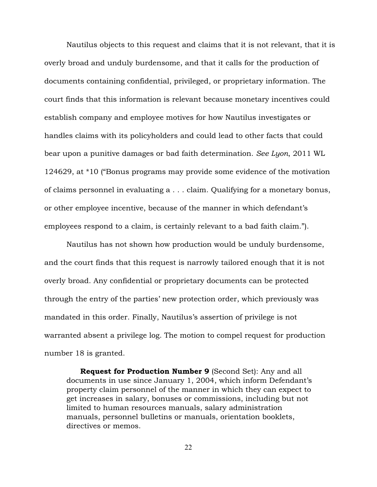Nautilus objects to this request and claims that it is not relevant, that it is overly broad and unduly burdensome, and that it calls for the production of documents containing confidential, privileged, or proprietary information. The court finds that this information is relevant because monetary incentives could establish company and employee motives for how Nautilus investigates or handles claims with its policyholders and could lead to other facts that could bear upon a punitive damages or bad faith determination. *See Lyon*, 2011 WL 124629, at \*10 ("Bonus programs may provide some evidence of the motivation of claims personnel in evaluating a . . . claim. Qualifying for a monetary bonus, or other employee incentive, because of the manner in which defendant's employees respond to a claim, is certainly relevant to a bad faith claim.").

Nautilus has not shown how production would be unduly burdensome, and the court finds that this request is narrowly tailored enough that it is not overly broad. Any confidential or proprietary documents can be protected through the entry of the parties' new protection order, which previously was mandated in this order. Finally, Nautilus's assertion of privilege is not warranted absent a privilege log. The motion to compel request for production number 18 is granted.

Request for Production Number 9 (Second Set): Any and all documents in use since January 1, 2004, which inform Defendant's property claim personnel of the manner in which they can expect to get increases in salary, bonuses or commissions, including but not limited to human resources manuals, salary administration manuals, personnel bulletins or manuals, orientation booklets, directives or memos.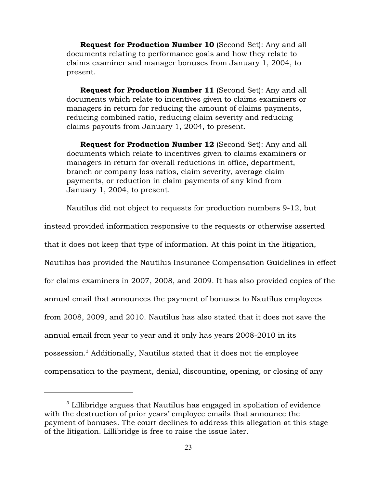Request for Production Number 10 (Second Set): Any and all documents relating to performance goals and how they relate to claims examiner and manager bonuses from January 1, 2004, to present.

Request for Production Number 11 (Second Set): Any and all documents which relate to incentives given to claims examiners or managers in return for reducing the amount of claims payments, reducing combined ratio, reducing claim severity and reducing claims payouts from January 1, 2004, to present.

Request for Production Number 12 (Second Set): Any and all documents which relate to incentives given to claims examiners or managers in return for overall reductions in office, department, branch or company loss ratios, claim severity, average claim payments, or reduction in claim payments of any kind from January 1, 2004, to present.

Nautilus did not object to requests for production numbers 9-12, but

instead provided information responsive to the requests or otherwise asserted that it does not keep that type of information. At this point in the litigation, Nautilus has provided the Nautilus Insurance Compensation Guidelines in effect for claims examiners in 2007, 2008, and 2009. It has also provided copies of the annual email that announces the payment of bonuses to Nautilus employees from 2008, 2009, and 2010. Nautilus has also stated that it does not save the annual email from year to year and it only has years 2008-2010 in its possession.<sup>3</sup> Additionally, Nautilus stated that it does not tie employee compensation to the payment, denial, discounting, opening, or closing of any

 $3$  Lillibridge argues that Nautilus has engaged in spoliation of evidence with the destruction of prior years' employee emails that announce the payment of bonuses. The court declines to address this allegation at this stage of the litigation. Lillibridge is free to raise the issue later.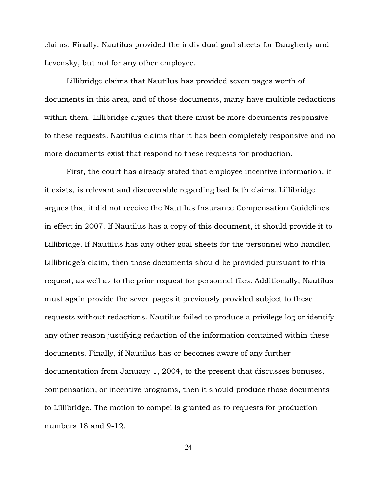claims. Finally, Nautilus provided the individual goal sheets for Daugherty and Levensky, but not for any other employee.

Lillibridge claims that Nautilus has provided seven pages worth of documents in this area, and of those documents, many have multiple redactions within them. Lillibridge argues that there must be more documents responsive to these requests. Nautilus claims that it has been completely responsive and no more documents exist that respond to these requests for production.

First, the court has already stated that employee incentive information, if it exists, is relevant and discoverable regarding bad faith claims. Lillibridge argues that it did not receive the Nautilus Insurance Compensation Guidelines in effect in 2007. If Nautilus has a copy of this document, it should provide it to Lillibridge. If Nautilus has any other goal sheets for the personnel who handled Lillibridge's claim, then those documents should be provided pursuant to this request, as well as to the prior request for personnel files. Additionally, Nautilus must again provide the seven pages it previously provided subject to these requests without redactions. Nautilus failed to produce a privilege log or identify any other reason justifying redaction of the information contained within these documents. Finally, if Nautilus has or becomes aware of any further documentation from January 1, 2004, to the present that discusses bonuses, compensation, or incentive programs, then it should produce those documents to Lillibridge. The motion to compel is granted as to requests for production numbers 18 and 9-12.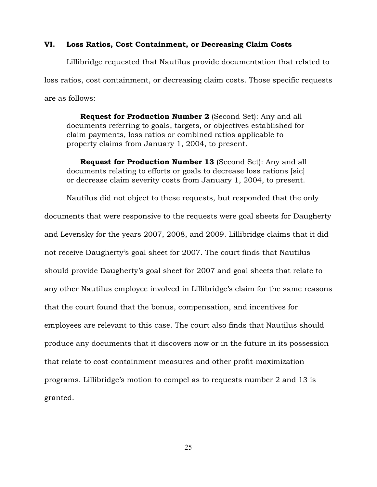#### VI. Loss Ratios, Cost Containment, or Decreasing Claim Costs

Lillibridge requested that Nautilus provide documentation that related to loss ratios, cost containment, or decreasing claim costs. Those specific requests are as follows:

Request for Production Number 2 (Second Set): Any and all documents referring to goals, targets, or objectives established for claim payments, loss ratios or combined ratios applicable to property claims from January 1, 2004, to present.

Request for Production Number 13 (Second Set): Any and all documents relating to efforts or goals to decrease loss rations [sic] or decrease claim severity costs from January 1, 2004, to present.

Nautilus did not object to these requests, but responded that the only documents that were responsive to the requests were goal sheets for Daugherty and Levensky for the years 2007, 2008, and 2009. Lillibridge claims that it did not receive Daugherty's goal sheet for 2007. The court finds that Nautilus should provide Daugherty's goal sheet for 2007 and goal sheets that relate to any other Nautilus employee involved in Lillibridge's claim for the same reasons that the court found that the bonus, compensation, and incentives for employees are relevant to this case. The court also finds that Nautilus should produce any documents that it discovers now or in the future in its possession that relate to cost-containment measures and other profit-maximization programs. Lillibridge's motion to compel as to requests number 2 and 13 is granted.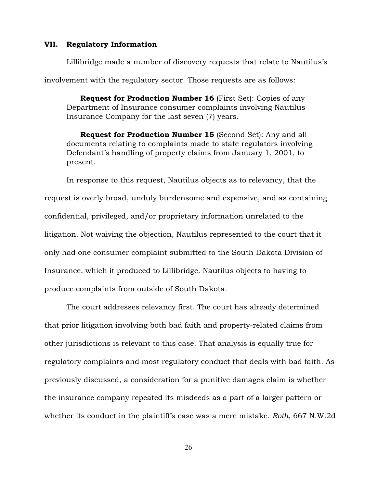### VII. Regulatory Information

Lillibridge made a number of discovery requests that relate to Nautilus's involvement with the regulatory sector. Those requests are as follows:

Request for Production Number 16 (First Set): Copies of any Department of Insurance consumer complaints involving Nautilus Insurance Company for the last seven (7) years.

Request for Production Number 15 (Second Set): Any and all documents relating to complaints made to state regulators involving Defendant's handling of property claims from January 1, 2001, to present.

In response to this request, Nautilus objects as to relevancy, that the request is overly broad, unduly burdensome and expensive, and as containing confidential, privileged, and/or proprietary information unrelated to the litigation. Not waiving the objection, Nautilus represented to the court that it only had one consumer complaint submitted to the South Dakota Division of Insurance, which it produced to Lillibridge. Nautilus objects to having to produce complaints from outside of South Dakota.

The court addresses relevancy first. The court has already determined that prior litigation involving both bad faith and property-related claims from other jurisdictions is relevant to this case. That analysis is equally true for regulatory complaints and most regulatory conduct that deals with bad faith. As previously discussed, a consideration for a punitive damages claim is whether the insurance company repeated its misdeeds as a part of a larger pattern or whether its conduct in the plaintiff's case was a mere mistake. *Roth*, 667 N.W.2d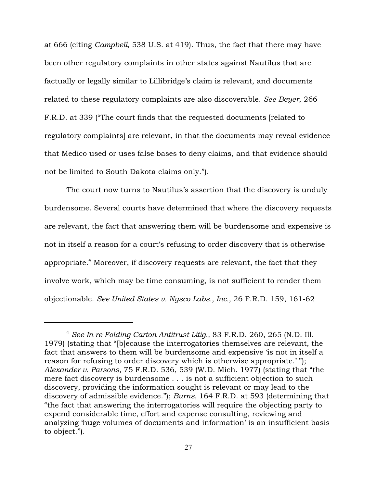at 666 (citing *Campbell,* 538 U.S. at 419). Thus, the fact that there may have been other regulatory complaints in other states against Nautilus that are factually or legally similar to Lillibridge's claim is relevant, and documents related to these regulatory complaints are also discoverable. *See Beyer*, 266 F.R.D. at 339 ("The court finds that the requested documents [related to regulatory complaints] are relevant, in that the documents may reveal evidence that Medico used or uses false bases to deny claims, and that evidence should not be limited to South Dakota claims only.").

The court now turns to Nautilus's assertion that the discovery is unduly burdensome. Several courts have determined that where the discovery requests are relevant, the fact that answering them will be burdensome and expensive is not in itself a reason for a court's refusing to order discovery that is otherwise appropriate.<sup>4</sup> Moreover, if discovery requests are relevant, the fact that they involve work, which may be time consuming, is not sufficient to render them objectionable. *See United States v. Nysco Labs., Inc.,* 26 F.R.D. 159, 161-62

*See In re Folding Carton Antitrust Litig.,* 83 F.R.D. 260, 265 (N.D. Ill. <sup>4</sup> 1979) (stating that "[b]ecause the interrogatories themselves are relevant, the fact that answers to them will be burdensome and expensive 'is not in itself a reason for refusing to order discovery which is otherwise appropriate.' "); *Alexander v. Parsons,* 75 F.R.D. 536, 539 (W.D. Mich. 1977) (stating that "the mere fact discovery is burdensome . . . is not a sufficient objection to such discovery, providing the information sought is relevant or may lead to the discovery of admissible evidence."); *Burns,* 164 F.R.D. at 593 (determining that "the fact that answering the interrogatories will require the objecting party to expend considerable time, effort and expense consulting, reviewing and analyzing 'huge volumes of documents and information' is an insufficient basis to object.").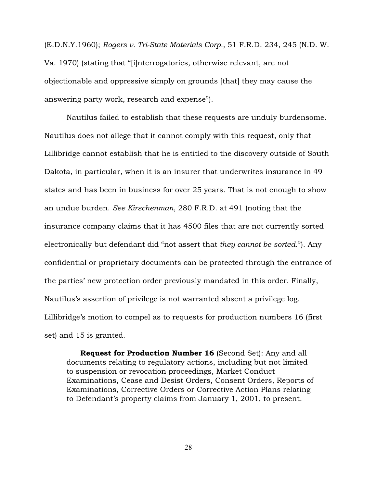(E.D.N.Y.1960); *Rogers v. Tri-State Materials Corp.,* 51 F.R.D. 234, 245 (N.D. W. Va. 1970) (stating that "[i]nterrogatories, otherwise relevant, are not objectionable and oppressive simply on grounds [that] they may cause the answering party work, research and expense").

Nautilus failed to establish that these requests are unduly burdensome. Nautilus does not allege that it cannot comply with this request, only that Lillibridge cannot establish that he is entitled to the discovery outside of South Dakota, in particular, when it is an insurer that underwrites insurance in 49 states and has been in business for over 25 years. That is not enough to show an undue burden. *See Kirschenman*, 280 F.R.D. at 491 (noting that the insurance company claims that it has 4500 files that are not currently sorted electronically but defendant did "not assert that *they cannot be sorted*."). Any confidential or proprietary documents can be protected through the entrance of the parties' new protection order previously mandated in this order. Finally, Nautilus's assertion of privilege is not warranted absent a privilege log. Lillibridge's motion to compel as to requests for production numbers 16 (first set) and 15 is granted.

Request for Production Number 16 (Second Set): Any and all documents relating to regulatory actions, including but not limited to suspension or revocation proceedings, Market Conduct Examinations, Cease and Desist Orders, Consent Orders, Reports of Examinations, Corrective Orders or Corrective Action Plans relating to Defendant's property claims from January 1, 2001, to present.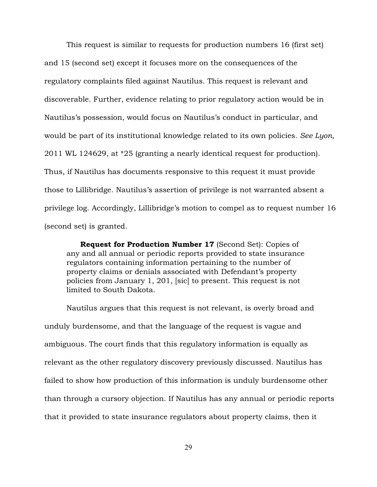This request is similar to requests for production numbers 16 (first set) and 15 (second set) except it focuses more on the consequences of the regulatory complaints filed against Nautilus. This request is relevant and discoverable. Further, evidence relating to prior regulatory action would be in Nautilus's possession, would focus on Nautilus's conduct in particular, and would be part of its institutional knowledge related to its own policies. *See Lyon*, 2011 WL 124629, at \*25 (granting a nearly identical request for production). Thus, if Nautilus has documents responsive to this request it must provide those to Lillibridge. Nautilus's assertion of privilege is not warranted absent a privilege log. Accordingly, Lillibridge's motion to compel as to request number 16 (second set) is granted.

Request for Production Number 17 (Second Set): Copies of any and all annual or periodic reports provided to state insurance regulators containing information pertaining to the number of property claims or denials associated with Defendant's property policies from January 1, 201, [sic] to present. This request is not limited to South Dakota.

Nautilus argues that this request is not relevant, is overly broad and unduly burdensome, and that the language of the request is vague and ambiguous. The court finds that this regulatory information is equally as relevant as the other regulatory discovery previously discussed. Nautilus has failed to show how production of this information is unduly burdensome other than through a cursory objection. If Nautilus has any annual or periodic reports that it provided to state insurance regulators about property claims, then it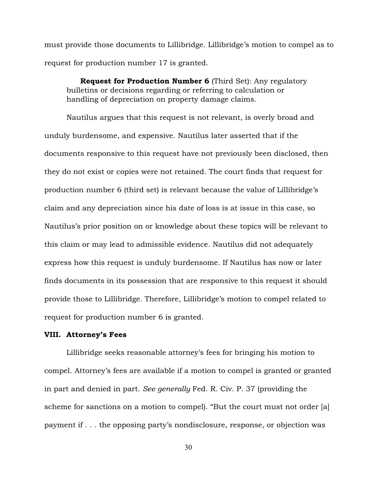must provide those documents to Lillibridge. Lillibridge's motion to compel as to request for production number 17 is granted.

Request for Production Number 6 (Third Set): Any regulatory bulletins or decisions regarding or referring to calculation or handling of depreciation on property damage claims.

Nautilus argues that this request is not relevant, is overly broad and unduly burdensome, and expensive. Nautilus later asserted that if the documents responsive to this request have not previously been disclosed, then they do not exist or copies were not retained. The court finds that request for production number 6 (third set) is relevant because the value of Lillibridge's claim and any depreciation since his date of loss is at issue in this case, so Nautilus's prior position on or knowledge about these topics will be relevant to this claim or may lead to admissible evidence. Nautilus did not adequately express how this request is unduly burdensome. If Nautilus has now or later finds documents in its possession that are responsive to this request it should provide those to Lillibridge. Therefore, Lillibridge's motion to compel related to request for production number 6 is granted.

### VIII. Attorney's Fees

Lillibridge seeks reasonable attorney's fees for bringing his motion to compel. Attorney's fees are available if a motion to compel is granted or granted in part and denied in part. *See generally* Fed. R. Civ. P. 37 (providing the scheme for sanctions on a motion to compel). "But the court must not order [a] payment if . . . the opposing party's nondisclosure, response, or objection was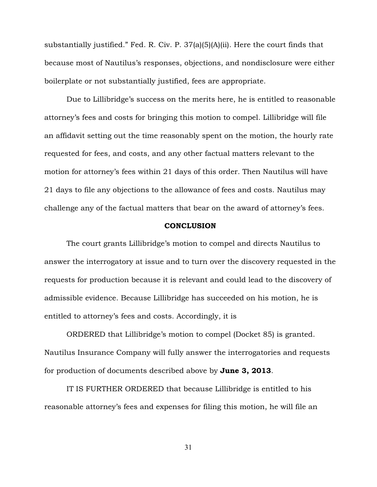substantially justified." Fed. R. Civ. P. 37(a)(5)(A)(ii). Here the court finds that because most of Nautilus's responses, objections, and nondisclosure were either boilerplate or not substantially justified, fees are appropriate.

Due to Lillibridge's success on the merits here, he is entitled to reasonable attorney's fees and costs for bringing this motion to compel. Lillibridge will file an affidavit setting out the time reasonably spent on the motion, the hourly rate requested for fees, and costs, and any other factual matters relevant to the motion for attorney's fees within 21 days of this order. Then Nautilus will have 21 days to file any objections to the allowance of fees and costs. Nautilus may challenge any of the factual matters that bear on the award of attorney's fees.

#### **CONCLUSION**

The court grants Lillibridge's motion to compel and directs Nautilus to answer the interrogatory at issue and to turn over the discovery requested in the requests for production because it is relevant and could lead to the discovery of admissible evidence. Because Lillibridge has succeeded on his motion, he is entitled to attorney's fees and costs. Accordingly, it is

ORDERED that Lillibridge's motion to compel (Docket 85) is granted. Nautilus Insurance Company will fully answer the interrogatories and requests for production of documents described above by June 3, 2013.

IT IS FURTHER ORDERED that because Lillibridge is entitled to his reasonable attorney's fees and expenses for filing this motion, he will file an